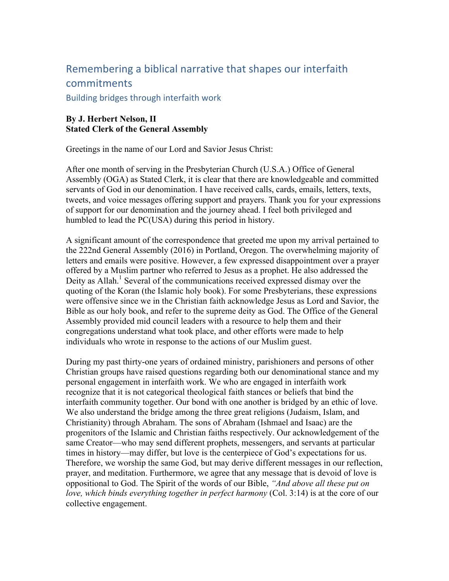## Remembering a biblical narrative that shapes our interfaith commitments

Building bridges through interfaith work

## **By J. Herbert Nelson, II Stated Clerk of the General Assembly**

Greetings in the name of our Lord and Savior Jesus Christ:

After one month of serving in the Presbyterian Church (U.S.A.) Office of General Assembly (OGA) as Stated Clerk, it is clear that there are knowledgeable and committed servants of God in our denomination. I have received calls, cards, emails, letters, texts, tweets, and voice messages offering support and prayers. Thank you for your expressions of support for our denomination and the journey ahead. I feel both privileged and humbled to lead the PC(USA) during this period in history.

A significant amount of the correspondence that greeted me upon my arrival pertained to the 222nd General Assembly (2016) in Portland, Oregon. The overwhelming majority of letters and emails were positive. However, a few expressed disappointment over a prayer offered by a Muslim partner who referred to Jesus as a prophet. He also addressed the Deity as Allah.<sup>1</sup> Several of the communications received expressed dismay over the quoting of the Koran (the Islamic holy book). For some Presbyterians, these expressions were offensive since we in the Christian faith acknowledge Jesus as Lord and Savior, the Bible as our holy book, and refer to the supreme deity as God. The Office of the General Assembly provided mid council leaders with a resource to help them and their congregations understand what took place, and other efforts were made to help individuals who wrote in response to the actions of our Muslim guest.

During my past thirty-one years of ordained ministry, parishioners and persons of other Christian groups have raised questions regarding both our denominational stance and my personal engagement in interfaith work. We who are engaged in interfaith work recognize that it is not categorical theological faith stances or beliefs that bind the interfaith community together. Our bond with one another is bridged by an ethic of love. We also understand the bridge among the three great religions (Judaism, Islam, and Christianity) through Abraham. The sons of Abraham (Ishmael and Isaac) are the progenitors of the Islamic and Christian faiths respectively. Our acknowledgement of the same Creator—who may send different prophets, messengers, and servants at particular times in history—may differ, but love is the centerpiece of God's expectations for us. Therefore, we worship the same God, but may derive different messages in our reflection, prayer, and meditation. Furthermore, we agree that any message that is devoid of love is oppositional to God. The Spirit of the words of our Bible, *"And above all these put on love, which binds everything together in perfect harmony* (Col. 3:14) is at the core of our collective engagement.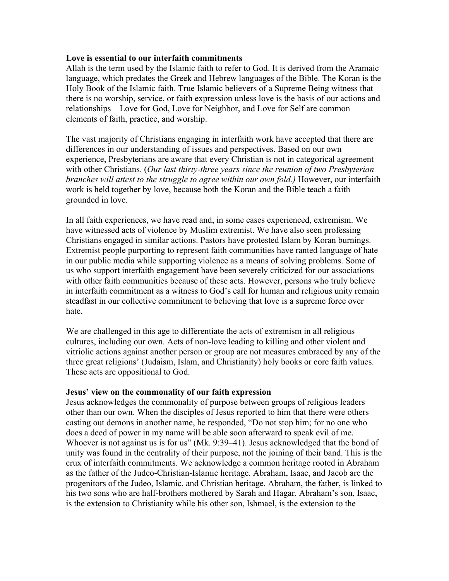## **Love is essential to our interfaith commitments**

Allah is the term used by the Islamic faith to refer to God. It is derived from the Aramaic language, which predates the Greek and Hebrew languages of the Bible. The Koran is the Holy Book of the Islamic faith. True Islamic believers of a Supreme Being witness that there is no worship, service, or faith expression unless love is the basis of our actions and relationships—Love for God, Love for Neighbor, and Love for Self are common elements of faith, practice, and worship.

The vast majority of Christians engaging in interfaith work have accepted that there are differences in our understanding of issues and perspectives. Based on our own experience, Presbyterians are aware that every Christian is not in categorical agreement with other Christians. (*Our last thirty-three years since the reunion of two Presbyterian branches will attest to the struggle to agree within our own fold.)* However, our interfaith work is held together by love, because both the Koran and the Bible teach a faith grounded in love.

In all faith experiences, we have read and, in some cases experienced, extremism. We have witnessed acts of violence by Muslim extremist. We have also seen professing Christians engaged in similar actions. Pastors have protested Islam by Koran burnings. Extremist people purporting to represent faith communities have ranted language of hate in our public media while supporting violence as a means of solving problems. Some of us who support interfaith engagement have been severely criticized for our associations with other faith communities because of these acts. However, persons who truly believe in interfaith commitment as a witness to God's call for human and religious unity remain steadfast in our collective commitment to believing that love is a supreme force over hate.

We are challenged in this age to differentiate the acts of extremism in all religious cultures, including our own. Acts of non-love leading to killing and other violent and vitriolic actions against another person or group are not measures embraced by any of the three great religions' (Judaism, Islam, and Christianity) holy books or core faith values. These acts are oppositional to God.

## **Jesus' view on the commonality of our faith expression**

Jesus acknowledges the commonality of purpose between groups of religious leaders other than our own. When the disciples of Jesus reported to him that there were others casting out demons in another name, he responded, "Do not stop him; for no one who does a deed of power in my name will be able soon afterward to speak evil of me. Whoever is not against us is for us" (Mk. 9:39–41). Jesus acknowledged that the bond of unity was found in the centrality of their purpose, not the joining of their band. This is the crux of interfaith commitments. We acknowledge a common heritage rooted in Abraham as the father of the Judeo-Christian-Islamic heritage. Abraham, Isaac, and Jacob are the progenitors of the Judeo, Islamic, and Christian heritage. Abraham, the father, is linked to his two sons who are half-brothers mothered by Sarah and Hagar. Abraham's son, Isaac, is the extension to Christianity while his other son, Ishmael, is the extension to the